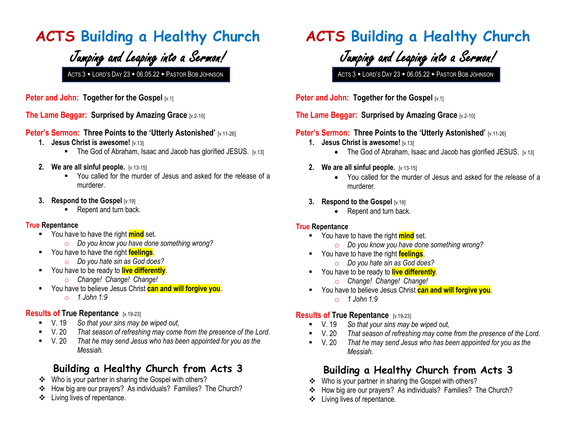### **ACTS Building a Healthy Church**

## Jumping and Leaping into a Sermon!

**Peter and John: Together for the Gospel [v.1]** 

**The Lame Beggar: Surprised by Amazing Grace [v.2-10]** 

#### **Peter's Sermon: Three Points to the 'Utterly Astonished' [v.11-26]**

- **1. Jesus Christ is awesome!**  $[v.13]$ 
	- The God of Abraham, Isaac and Jacob has glorified JESUS. [v.13]
- **2. We are all sinful people.** [v.13-15]
	- You called for the murder of Jesus and asked for the release of a murderer.
- **3. Respond to the Gospel** [v.19]
	- Repent and turn back.

#### **True Repentance**

- You have to have the right **mind** set.
	- o *Do you know you have done something wrong?*
- You have to have the right **feelings**.
	- o *Do you hate sin as God does?*
- You have to be ready to **live differently**.
	- o *Change! Change! Change!*
- You have to believe Jesus Christ **can and will forgive you**.
	- o *1 John 1:9*

#### **Results of True Repentance** [v.19-23]

- V. 19 *So that your sins may be wiped out,*
- V. 20 *That season of refreshing may come from the presence of the Lord.*
- V. 20 *That he may send Jesus who has been appointed for you as the Messiah.*

### **Building a Healthy Church from Acts 3**

- Who is your partner in sharing the Gospel with others?
- How big are our prayers? As individuals? Families? The Church?
- Living lives of repentance.

## **ACTS Building a Healthy Church**

Jumping and Leaping into a Sermon!

ACTS 3 . LORD'S DAY 23 . 06.05.22 . PASTOR BOB JOHNSON ACTS 3 . LORD'S DAY 23 . 06.05.22 . PASTOR BOB JOHNSON

**Peter and John: Together for the Gospel [v.1]** 

#### **The Lame Beggar: Surprised by Amazing Grace [v.2-10]**

#### **Peter's Sermon: Three Points to the 'Utterly Astonished' [v.11-26]**

- **1. Jesus Christ is awesome!** [v.13]
	- The God of Abraham, Isaac and Jacob has glorified JESUS.  $[v.13]$
- **2. We are all sinful people.** [v.13-15]
	- You called for the murder of Jesus and asked for the release of a murderer.
- **3. Respond to the Gospel** [v.19]
	- Repent and turn back.

#### **True Repentance**

- You have to have the right **mind** set.
	- o *Do you know you have done something wrong?*
- You have to have the right **feelings**.
	- o *Do you hate sin as God does?*
- **EXECUTE:** You have to be ready to **live differently**.
	- o *Change! Change! Change!*
- You have to believe Jesus Christ **can and will forgive you**. o *1 John 1:9*

#### **Results of True Repentance** [v.19-23]

- V. 19 *So that your sins may be wiped out,*
- V. 20 *That season of refreshing may come from the presence of the Lord.*
- V. 20 *That he may send Jesus who has been appointed for you as the Messiah.*

### **Building a Healthy Church from Acts 3**

- Who is your partner in sharing the Gospel with others?
- How big are our prayers? As individuals? Families? The Church?
- Living lives of repentance.